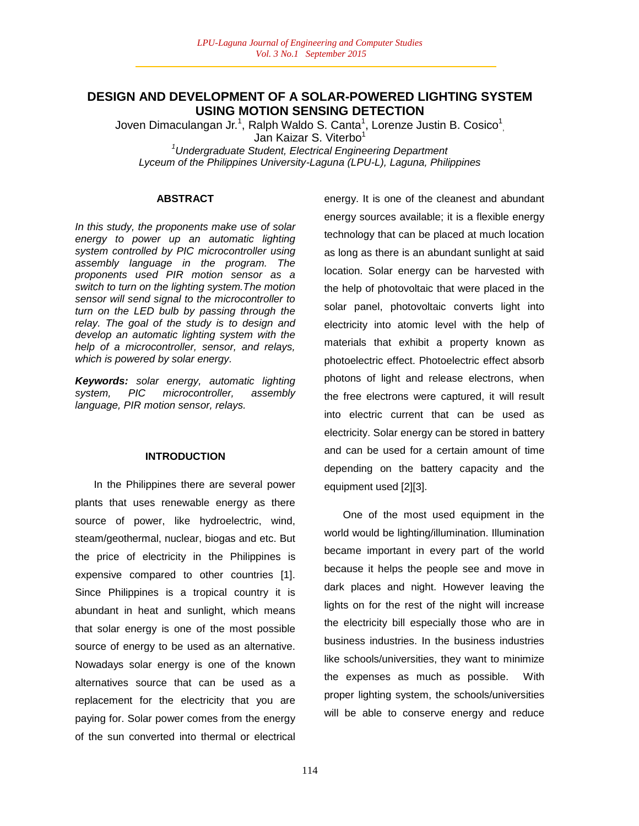# **DESIGN AND DEVELOPMENT OF A SOLAR-POWERED LIGHTING SYSTEM USING MOTION SENSING DETECTION**

Joven Dimaculangan Jr.<sup>1</sup>, Ralph Waldo S. Canta<sup>1</sup>, Lorenze Justin B. Cosico<sup>1</sup>, Jan Kaizar S. Viterbo<sup>1</sup> *<sup>1</sup>Undergraduate Student, Electrical Engineering Department*

*Lyceum of the Philippines University-Laguna (LPU-L), Laguna, Philippines*

### **ABSTRACT**

*In this study, the proponents make use of solar energy to power up an automatic lighting system controlled by PIC microcontroller using assembly language in the program. The proponents used PIR motion sensor as a switch to turn on the lighting system.The motion sensor will send signal to the microcontroller to turn on the LED bulb by passing through the relay. The goal of the study is to design and develop an automatic lighting system with the help of a microcontroller, sensor, and relays, which is powered by solar energy.* 

*Keywords: solar energy, automatic lighting system, PIC microcontroller, assembly language, PIR motion sensor, relays.*

#### **INTRODUCTION**

In the Philippines there are several power plants that uses renewable energy as there source of power, like hydroelectric, wind, steam/geothermal, nuclear, biogas and etc. But the price of electricity in the Philippines is expensive compared to other countries [1]. Since Philippines is a tropical country it is abundant in heat and sunlight, which means that solar energy is one of the most possible source of energy to be used as an alternative. Nowadays solar energy is one of the known alternatives source that can be used as a replacement for the electricity that you are paying for. Solar power comes from the energy of the sun converted into thermal or electrical energy. It is one of the cleanest and abundant energy sources available; it is a flexible energy technology that can be placed at much location as long as there is an abundant sunlight at said location. Solar energy can be harvested with the help of photovoltaic that were placed in the solar panel, photovoltaic converts light into electricity into atomic level with the help of materials that exhibit a property known as photoelectric effect. Photoelectric effect absorb photons of light and release electrons, when the free electrons were captured, it will result into electric current that can be used as electricity. Solar energy can be stored in battery and can be used for a certain amount of time depending on the battery capacity and the equipment used [2][3].

One of the most used equipment in the world would be lighting/illumination. Illumination became important in every part of the world because it helps the people see and move in dark places and night. However leaving the lights on for the rest of the night will increase the electricity bill especially those who are in business industries. In the business industries like schools/universities, they want to minimize the expenses as much as possible. With proper lighting system, the schools/universities will be able to conserve energy and reduce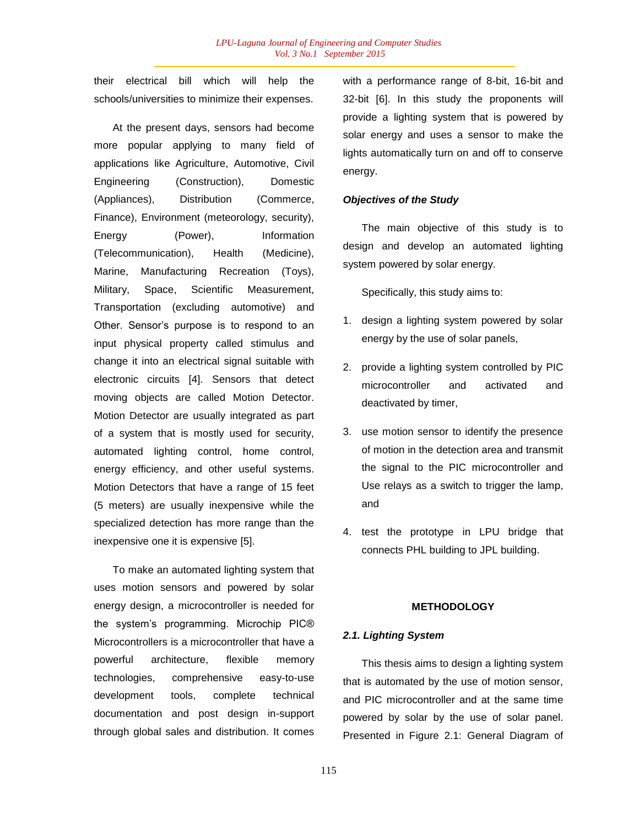their electrical bill which will help the schools/universities to minimize their expenses.

At the present days, sensors had become more popular applying to many field of applications like Agriculture, Automotive, Civil Engineering (Construction), Domestic (Appliances), Distribution (Commerce, Finance), Environment (meteorology, security), Energy (Power), Information (Telecommunication), Health (Medicine), Marine, Manufacturing Recreation (Toys), Military, Space, Scientific Measurement, Transportation (excluding automotive) and Other. Sensor"s purpose is to respond to an input physical property called stimulus and change it into an electrical signal suitable with electronic circuits [4]. Sensors that detect moving objects are called Motion Detector. Motion Detector are usually integrated as part of a system that is mostly used for security, automated lighting control, home control, energy efficiency, and other useful systems. Motion Detectors that have a range of 15 feet (5 meters) are usually inexpensive while the specialized detection has more range than the inexpensive one it is expensive [5].

To make an automated lighting system that uses motion sensors and powered by solar energy design, a microcontroller is needed for the system"s programming. Microchip PIC® Microcontrollers is a microcontroller that have a powerful architecture, flexible memory technologies, comprehensive easy-to-use development tools, complete technical documentation and post design in-support through global sales and distribution. It comes with a performance range of 8-bit, 16-bit and 32-bit [6]. In this study the proponents will provide a lighting system that is powered by solar energy and uses a sensor to make the lights automatically turn on and off to conserve energy.

### *Objectives of the Study*

The main objective of this study is to design and develop an automated lighting system powered by solar energy.

Specifically, this study aims to:

- 1. design a lighting system powered by solar energy by the use of solar panels,
- 2. provide a lighting system controlled by PIC microcontroller and activated and deactivated by timer,
- 3. use motion sensor to identify the presence of motion in the detection area and transmit the signal to the PIC microcontroller and Use relays as a switch to trigger the lamp, and
- 4. test the prototype in LPU bridge that connects PHL building to JPL building.

## **METHODOLOGY**

### *2.1. Lighting System*

This thesis aims to design a lighting system that is automated by the use of motion sensor, and PIC microcontroller and at the same time powered by solar by the use of solar panel. Presented in Figure 2.1: General Diagram of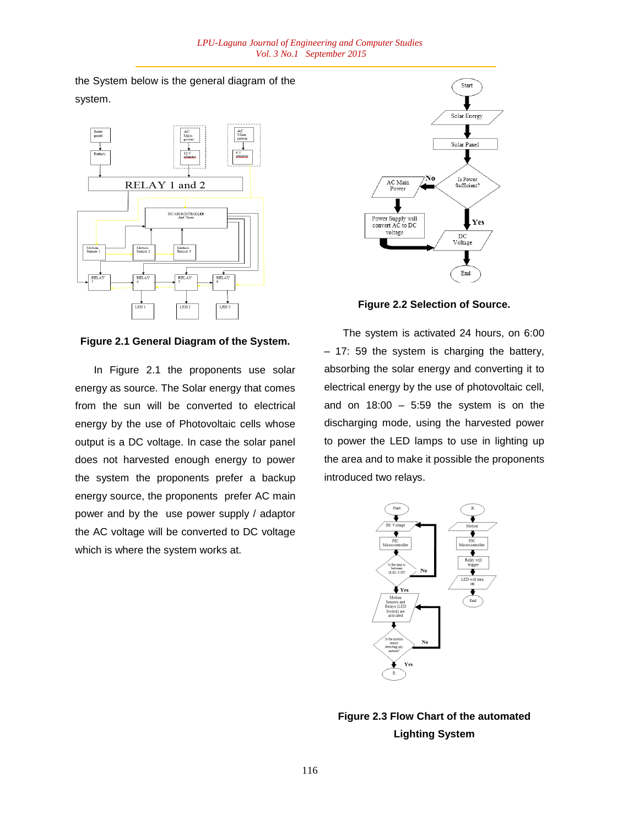the System below is the general diagram of the system.



**Figure 2.1 General Diagram of the System.**

In Figure 2.1 the proponents use solar energy as source. The Solar energy that comes from the sun will be converted to electrical energy by the use of Photovoltaic cells whose output is a DC voltage. In case the solar panel does not harvested enough energy to power the system the proponents prefer a backup energy source, the proponents prefer AC main power and by the use power supply / adaptor the AC voltage will be converted to DC voltage which is where the system works at.



**Figure 2.2 Selection of Source.**

The system is activated 24 hours, on 6:00 – 17: 59 the system is charging the battery, absorbing the solar energy and converting it to electrical energy by the use of photovoltaic cell, and on  $18:00 - 5:59$  the system is on the discharging mode, using the harvested power to power the LED lamps to use in lighting up the area and to make it possible the proponents introduced two relays.



**Figure 2.3 Flow Chart of the automated Lighting System**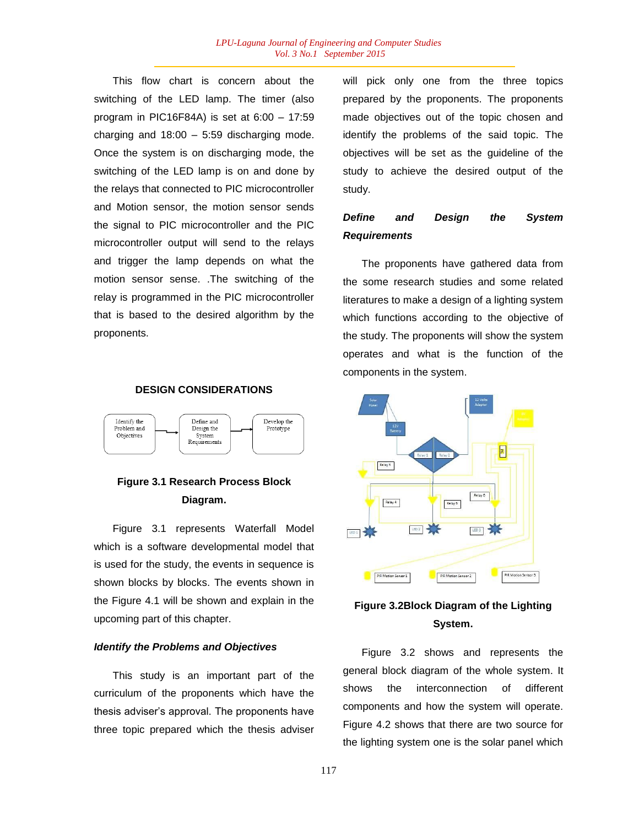This flow chart is concern about the switching of the LED lamp. The timer (also program in PIC16F84A) is set at 6:00 – 17:59 charging and  $18:00 - 5:59$  discharging mode. Once the system is on discharging mode, the switching of the LED lamp is on and done by the relays that connected to PIC microcontroller and Motion sensor, the motion sensor sends the signal to PIC microcontroller and the PIC microcontroller output will send to the relays and trigger the lamp depends on what the motion sensor sense. .The switching of the relay is programmed in the PIC microcontroller that is based to the desired algorithm by the proponents.

# **DESIGN CONSIDERATIONS**



# **Figure 3.1 Research Process Block Diagram.**

Figure 3.1 represents Waterfall Model which is a software developmental model that is used for the study, the events in sequence is shown blocks by blocks. The events shown in the Figure 4.1 will be shown and explain in the upcoming part of this chapter.

### *Identify the Problems and Objectives*

This study is an important part of the curriculum of the proponents which have the thesis adviser"s approval. The proponents have three topic prepared which the thesis adviser will pick only one from the three topics prepared by the proponents. The proponents made objectives out of the topic chosen and identify the problems of the said topic. The objectives will be set as the guideline of the study to achieve the desired output of the study.

# *Define and Design the System Requirements*

The proponents have gathered data from the some research studies and some related literatures to make a design of a lighting system which functions according to the objective of the study. The proponents will show the system operates and what is the function of the components in the system.



# **Figure 3.2Block Diagram of the Lighting System.**

Figure 3.2 shows and represents the general block diagram of the whole system. It shows the interconnection of different components and how the system will operate. Figure 4.2 shows that there are two source for the lighting system one is the solar panel which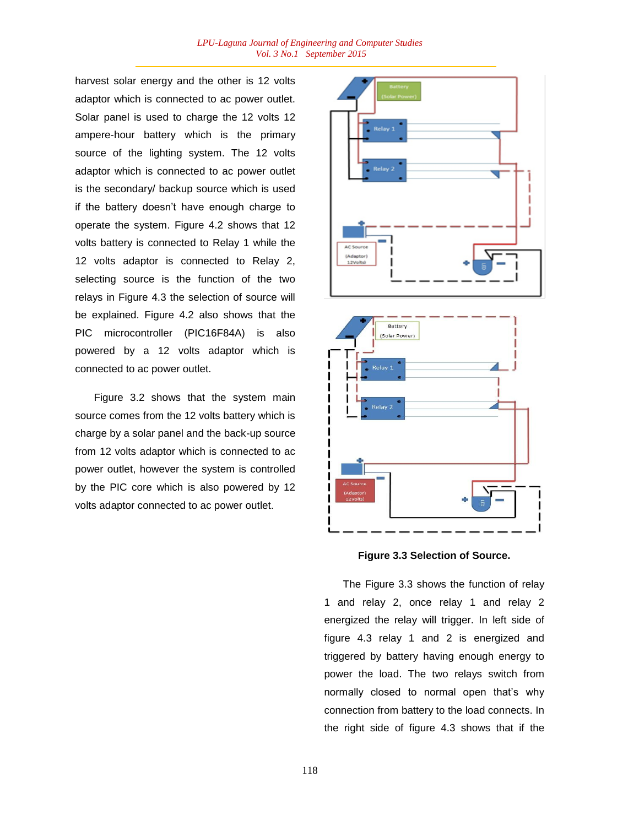harvest solar energy and the other is 12 volts adaptor which is connected to ac power outlet. Solar panel is used to charge the 12 volts 12 ampere-hour battery which is the primary source of the lighting system. The 12 volts adaptor which is connected to ac power outlet is the secondary/ backup source which is used if the battery doesn"t have enough charge to operate the system. Figure 4.2 shows that 12 volts battery is connected to Relay 1 while the 12 volts adaptor is connected to Relay 2, selecting source is the function of the two relays in Figure 4.3 the selection of source will be explained. Figure 4.2 also shows that the PIC microcontroller (PIC16F84A) is also powered by a 12 volts adaptor which is connected to ac power outlet.

Figure 3.2 shows that the system main source comes from the 12 volts battery which is charge by a solar panel and the back-up source from 12 volts adaptor which is connected to ac power outlet, however the system is controlled by the PIC core which is also powered by 12 volts adaptor connected to ac power outlet.





**Figure 3.3 Selection of Source.**

The Figure 3.3 shows the function of relay 1 and relay 2, once relay 1 and relay 2 energized the relay will trigger. In left side of figure 4.3 relay 1 and 2 is energized and triggered by battery having enough energy to power the load. The two relays switch from normally closed to normal open that's why connection from battery to the load connects. In the right side of figure 4.3 shows that if the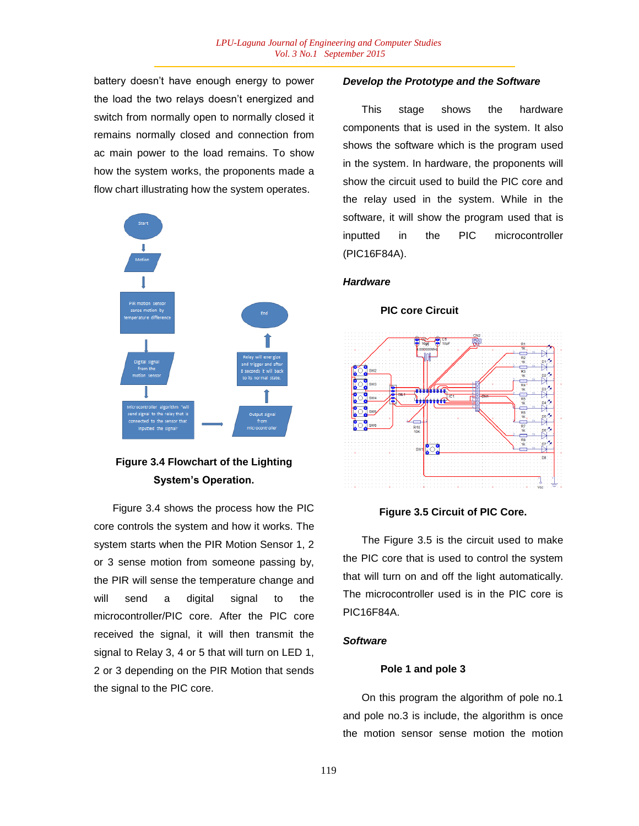battery doesn"t have enough energy to power the load the two relays doesn"t energized and switch from normally open to normally closed it remains normally closed and connection from ac main power to the load remains. To show how the system works, the proponents made a flow chart illustrating how the system operates.



# **Figure 3.4 Flowchart of the Lighting System's Operation.**

Figure 3.4 shows the process how the PIC core controls the system and how it works. The system starts when the PIR Motion Sensor 1, 2 or 3 sense motion from someone passing by, the PIR will sense the temperature change and will send a digital signal to the microcontroller/PIC core. After the PIC core received the signal, it will then transmit the signal to Relay 3, 4 or 5 that will turn on LED 1, 2 or 3 depending on the PIR Motion that sends the signal to the PIC core.

### *Develop the Prototype and the Software*

This stage shows the hardware components that is used in the system. It also shows the software which is the program used in the system. In hardware, the proponents will show the circuit used to build the PIC core and the relay used in the system. While in the software, it will show the program used that is inputted in the PIC microcontroller (PIC16F84A).

# *Hardware*

# $\sqrt{6}$ 4 a ale  $......$

**PIC core Circuit**

### **Figure 3.5 Circuit of PIC Core.**

The Figure 3.5 is the circuit used to make the PIC core that is used to control the system that will turn on and off the light automatically. The microcontroller used is in the PIC core is PIC16F84A.

### *Software*

### **Pole 1 and pole 3**

On this program the algorithm of pole no.1 and pole no.3 is include, the algorithm is once the motion sensor sense motion the motion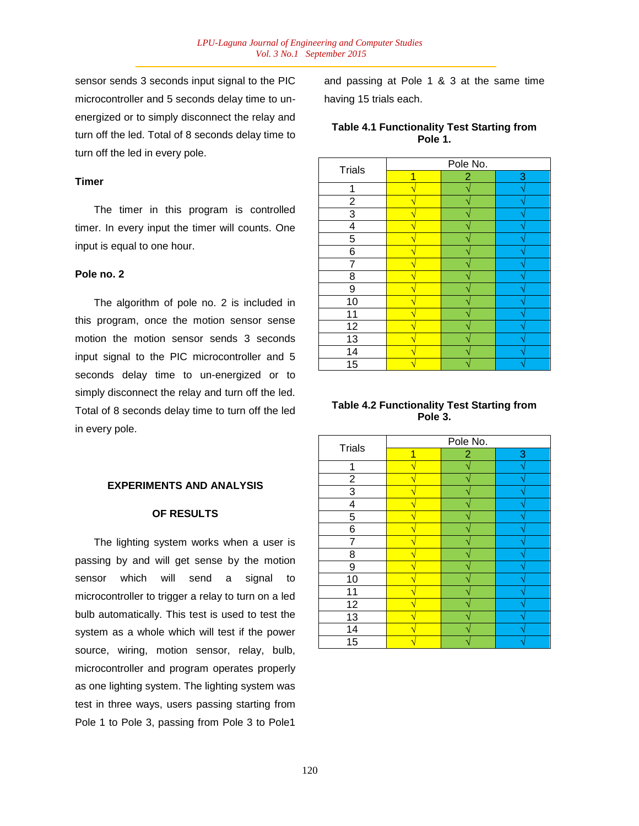sensor sends 3 seconds input signal to the PIC microcontroller and 5 seconds delay time to unenergized or to simply disconnect the relay and turn off the led. Total of 8 seconds delay time to turn off the led in every pole.

### **Timer**

The timer in this program is controlled timer. In every input the timer will counts. One input is equal to one hour.

### **Pole no. 2**

The algorithm of pole no. 2 is included in this program, once the motion sensor sense motion the motion sensor sends 3 seconds input signal to the PIC microcontroller and 5 seconds delay time to un-energized or to simply disconnect the relay and turn off the led. Total of 8 seconds delay time to turn off the led in every pole.

### **EXPERIMENTS AND ANALYSIS**

### **OF RESULTS**

The lighting system works when a user is passing by and will get sense by the motion sensor which will send a signal to microcontroller to trigger a relay to turn on a led bulb automatically. This test is used to test the system as a whole which will test if the power source, wiring, motion sensor, relay, bulb, microcontroller and program operates properly as one lighting system. The lighting system was test in three ways, users passing starting from Pole 1 to Pole 3, passing from Pole 3 to Pole1

and passing at Pole 1 & 3 at the same time having 15 trials each.

|         | <b>Table 4.1 Functionality Test Starting from</b> |  |  |  |  |
|---------|---------------------------------------------------|--|--|--|--|
| Pole 1. |                                                   |  |  |  |  |

|                  | Pole No. |                |   |
|------------------|----------|----------------|---|
| <b>Trials</b>    | 4        | $\overline{2}$ | 3 |
| 1                |          |                |   |
| $\overline{2}$   |          |                |   |
| $\overline{3}$   |          |                |   |
| 4                |          |                |   |
| 5                |          |                |   |
| 6                |          |                |   |
| 7                |          |                |   |
| 8                |          |                |   |
| $\boldsymbol{9}$ |          |                |   |
| 10               |          |                |   |
| 11               |          |                |   |
| 12               |          |                |   |
| $\overline{13}$  |          |                |   |
| $\overline{14}$  |          |                |   |
| $\overline{15}$  |          |                |   |

### **Table 4.2 Functionality Test Starting from Pole 3.**

|                  | Pole No. |                |   |
|------------------|----------|----------------|---|
| <b>Trials</b>    |          | $\overline{2}$ | 3 |
|                  |          |                |   |
| $\boldsymbol{2}$ |          |                |   |
| 3                |          |                |   |
| 4                |          |                |   |
| $\overline{5}$   |          |                |   |
| 6                |          |                |   |
| 7                |          |                |   |
| 8                |          |                |   |
| 9                |          |                |   |
| 10               |          |                |   |
| 11               |          |                |   |
| 12               |          |                |   |
| 13               |          |                |   |
| $\overline{14}$  |          |                |   |
| 15               |          |                |   |